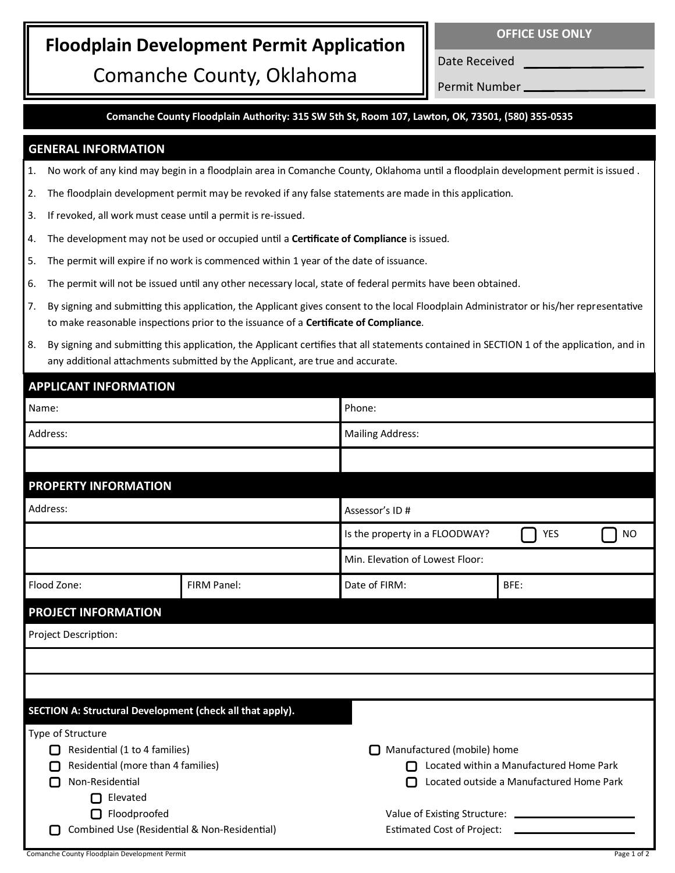## **Floodplain Development Permit Application**

Comanche County, Oklahoma

Date Received Permit Number

**Comanche County Floodplain Authority: 315 SW 5th St, Room 107, Lawton, OK, 73501, (580) 355-0535**

## **GENERAL INFORMATION**

- 1. No work of any kind may begin in a floodplain area in Comanche County, Oklahoma until a floodplain development permit is issued .
- 2. The floodplain development permit may be revoked if any false statements are made in this application.
- 3. If revoked, all work must cease until a permit is re-issued.
- 4. The development may not be used or occupied until a **Certificate of Compliance** is issued.
- 5. The permit will expire if no work is commenced within 1 year of the date of issuance.
- 6. The permit will not be issued until any other necessary local, state of federal permits have been obtained.
- 7. By signing and submitting this application, the Applicant gives consent to the local Floodplain Administrator or his/her representative to make reasonable inspections prior to the issuance of a **Certificate of Compliance**.
- 8. By signing and submitting this application, the Applicant certifies that all statements contained in SECTION 1 of the application, and in any additional attachments submitted by the Applicant, are true and accurate.

| <b>APPLICANT INFORMATION</b>                              |             |                                 |                                          |  |
|-----------------------------------------------------------|-------------|---------------------------------|------------------------------------------|--|
| Name:                                                     |             | Phone:                          |                                          |  |
| Address:                                                  |             | <b>Mailing Address:</b>         |                                          |  |
|                                                           |             |                                 |                                          |  |
| <b>PROPERTY INFORMATION</b>                               |             |                                 |                                          |  |
| Address:                                                  |             | Assessor's ID#                  |                                          |  |
|                                                           |             | Is the property in a FLOODWAY?  | YES<br>N <sub>O</sub>                    |  |
|                                                           |             | Min. Elevation of Lowest Floor: |                                          |  |
| Flood Zone:                                               | FIRM Panel: | Date of FIRM:                   | BFE:                                     |  |
| <b>PROJECT INFORMATION</b>                                |             |                                 |                                          |  |
| Project Description:                                      |             |                                 |                                          |  |
|                                                           |             |                                 |                                          |  |
|                                                           |             |                                 |                                          |  |
| SECTION A: Structural Development (check all that apply). |             |                                 |                                          |  |
| Type of Structure                                         |             |                                 |                                          |  |
| Residential (1 to 4 families)                             |             | п                               | Manufactured (mobile) home               |  |
| Residential (more than 4 families)<br>$\mathbf{L}$        |             |                                 | Located within a Manufactured Home Park  |  |
| Non-Residential<br>$\Box$                                 |             |                                 | Located outside a Manufactured Home Park |  |
| $\Box$ Elevated                                           |             |                                 |                                          |  |
| Floodproofed                                              |             |                                 |                                          |  |
| Combined Use (Residential & Non-Residential)              |             |                                 | <b>Estimated Cost of Project:</b>        |  |